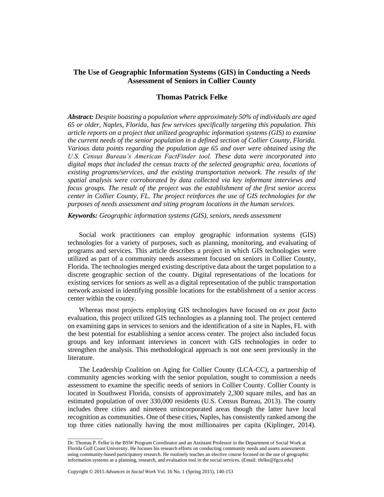# **The Use of Geographic Information Systems (GIS) in Conducting a Needs Assessment of Seniors in Collier County**

# **Thomas Patrick Felke**

*Abstract: Despite boasting a population where approximately 50% of individuals are aged 65 or older, Naples, Florida, has few services specifically targeting this population. This article reports on a project that utilized geographic information systems (GIS) to examine the current needs of the senior population in a defined section of Collier County, Florida. Various data points regarding the population age 65 and over were obtained using the U.S. Census Bureau's American FactFinder tool. These data were incorporated into digital maps that included the census tracts of the selected geographic area, locations of existing programs/services, and the existing transportation network. The results of the spatial analysis were corroborated by data collected via key informant interviews and focus groups. The result of the project was the establishment of the first senior access center in Collier County, FL. The project reinforces the use of GIS technologies for the purposes of needs assessment and siting program locations in the human services.*

*Keywords: Geographic information systems (GIS), seniors, needs assessment*

Social work practitioners can employ geographic information systems (GIS) technologies for a variety of purposes, such as planning, monitoring, and evaluating of programs and services. This article describes a project in which GIS technologies were utilized as part of a community needs assessment focused on seniors in Collier County, Florida. The technologies merged existing descriptive data about the target population to a discrete geographic section of the county. Digital representations of the locations for existing services for seniors as well as a digital representation of the public transportation network assisted in identifying possible locations for the establishment of a senior access center within the county.

Whereas most projects employing GIS technologies have focused on *ex post facto* evaluation, this project utilized GIS technologies as a planning tool. The project centered on examining gaps in services to seniors and the identification of a site in Naples, FL with the best potential for establishing a senior access center. The project also included focus groups and key informant interviews in concert with GIS technologies in order to strengthen the analysis. This methodological approach is not one seen previously in the literature.

The Leadership Coalition on Aging for Collier County (LCA-CC), a partnership of community agencies working with the senior population, sought to commission a needs assessment to examine the specific needs of seniors in Collier County. Collier County is located in Southwest Florida, consists of approximately 2,300 square miles, and has an estimated population of over 330,000 residents (U.S. Census Bureau, 2013). The county includes three cities and nineteen unincorporated areas though the latter have local recognition as communities. One of these cities, Naples, has consistently ranked among the top three cities nationally having the most millionaires per capita (Kiplinger, 2014).

 $\overline{\phantom{a}}$  , where  $\overline{\phantom{a}}$ 

Dr. Thomas P. Felke is the BSW Program Coordinator and an Assistant Professor in the Department of Social Work at Florida Gulf Coast University. He focuses his research efforts on conducting community needs and assets assessments using community-based participatory research. He routinely teaches an elective course focused on the use of geographic information systems as a planning, research, and evaluation tool in the social services. (Email[: tfelke@fgcu.edu\)](mailto:tfelke@fgcu.edu)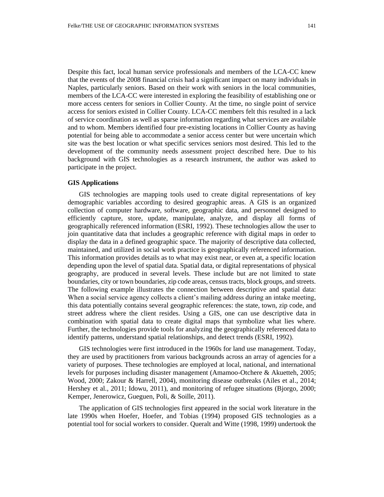Despite this fact, local human service professionals and members of the LCA-CC knew that the events of the 2008 financial crisis had a significant impact on many individuals in Naples, particularly seniors. Based on their work with seniors in the local communities, members of the LCA-CC were interested in exploring the feasibility of establishing one or more access centers for seniors in Collier County. At the time, no single point of service access for seniors existed in Collier County. LCA-CC members felt this resulted in a lack of service coordination as well as sparse information regarding what services are available and to whom. Members identified four pre-existing locations in Collier County as having potential for being able to accommodate a senior access center but were uncertain which site was the best location or what specific services seniors most desired. This led to the development of the community needs assessment project described here. Due to his background with GIS technologies as a research instrument, the author was asked to participate in the project.

## **GIS Applications**

GIS technologies are mapping tools used to create digital representations of key demographic variables according to desired geographic areas. A GIS is an organized collection of computer hardware, software, geographic data, and personnel designed to efficiently capture, store, update, manipulate, analyze, and display all forms of geographically referenced information (ESRI, 1992). These technologies allow the user to join quantitative data that includes a geographic reference with digital maps in order to display the data in a defined geographic space. The majority of descriptive data collected, maintained, and utilized in social work practice is geographically referenced information. This information provides details as to what may exist near, or even at, a specific location depending upon the level of spatial data. Spatial data, or digital representations of physical geography, are produced in several levels. These include but are not limited to state boundaries, city or town boundaries, zip code areas, census tracts, block groups, and streets. The following example illustrates the connection between descriptive and spatial data: When a social service agency collects a client's mailing address during an intake meeting, this data potentially contains several geographic references: the state, town, zip code, and street address where the client resides. Using a GIS, one can use descriptive data in combination with spatial data to create digital maps that symbolize what lies where. Further, the technologies provide tools for analyzing the geographically referenced data to identify patterns, understand spatial relationships, and detect trends (ESRI, 1992).

GIS technologies were first introduced in the 1960s for land use management. Today, they are used by practitioners from various backgrounds across an array of agencies for a variety of purposes. These technologies are employed at local, national, and international levels for purposes including disaster management (Amamoo-Otchere & Akuetteh, 2005; Wood, 2000; Zakour & Harrell, 2004), monitoring disease outbreaks (Ailes et al., 2014; Hershey et al., 2011; Idowu, 2011), and monitoring of refugee situations (Bjorgo, 2000; Kemper, Jenerowicz, Gueguen, Poli, & Soille, 2011).

The application of GIS technologies first appeared in the social work literature in the late 1990s when Hoefer, Hoefer, and Tobias (1994) proposed GIS technologies as a potential tool for social workers to consider. Queralt and Witte (1998, 1999) undertook the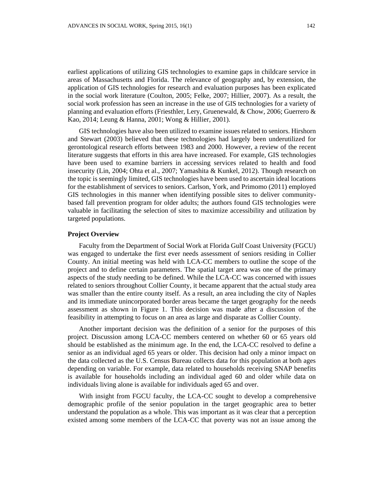earliest applications of utilizing GIS technologies to examine gaps in childcare service in areas of Massachusetts and Florida. The relevance of geography and, by extension, the application of GIS technologies for research and evaluation purposes has been explicated in the social work literature (Coulton, 2005; Felke, 2007; Hillier, 2007). As a result, the social work profession has seen an increase in the use of GIS technologies for a variety of planning and evaluation efforts (Friesthler, Lery, Gruenewald, & Chow, 2006; Guerrero & Kao, 2014; Leung & Hanna, 2001; Wong & Hillier, 2001).

GIS technologies have also been utilized to examine issues related to seniors. Hirshorn and Stewart (2003) believed that these technologies had largely been underutilized for gerontological research efforts between 1983 and 2000. However, a review of the recent literature suggests that efforts in this area have increased. For example, GIS technologies have been used to examine barriers in accessing services related to health and food insecurity (Lin, 2004; Ohta et al., 2007; Yamashita & Kunkel, 2012). Though research on the topic is seemingly limited, GIS technologies have been used to ascertain ideal locations for the establishment of services to seniors. Carlson, York, and Primomo (2011) [employed](http://www.sciencedirect.com/science/article/pii/S0362331910000959)  [GIS technologies in this manner when identifying possible sites to deliver community](http://www.sciencedirect.com/science/article/pii/S0362331910000959)[based fall prevention program for older adults](http://www.sciencedirect.com/science/article/pii/S0362331910000959); the authors found GIS technologies were valuable in facilitating the selection of sites to maximize accessibility and utilization by targeted populations.

### **Project Overview**

Faculty from the Department of Social Work at Florida Gulf Coast University (FGCU) was engaged to undertake the first ever needs assessment of seniors residing in Collier County. An initial meeting was held with LCA-CC members to outline the scope of the project and to define certain parameters. The spatial target area was one of the primary aspects of the study needing to be defined. While the LCA-CC was concerned with issues related to seniors throughout Collier County, it became apparent that the actual study area was smaller than the entire county itself. As a result, an area including the city of Naples and its immediate unincorporated border areas became the target geography for the needs assessment as shown in Figure 1. This decision was made after a discussion of the feasibility in attempting to focus on an area as large and disparate as Collier County.

Another important decision was the definition of a senior for the purposes of this project. Discussion among LCA-CC members centered on whether 60 or 65 years old should be established as the minimum age. In the end, the LCA-CC resolved to define a senior as an individual aged 65 years or older. This decision had only a minor impact on the data collected as the U.S. Census Bureau collects data for this population at both ages depending on variable. For example, data related to households receiving SNAP benefits is available for households including an individual aged 60 and older while data on individuals living alone is available for individuals aged 65 and over.

With insight from FGCU faculty, the LCA-CC sought to develop a comprehensive demographic profile of the senior population in the target geographic area to better understand the population as a whole. This was important as it was clear that a perception existed among some members of the LCA-CC that poverty was not an issue among the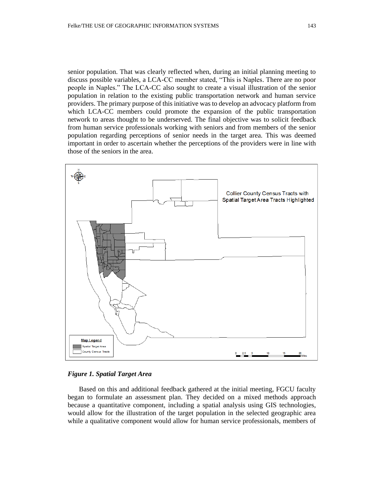senior population. That was clearly reflected when, during an initial planning meeting to discuss possible variables, a LCA-CC member stated, "This is Naples. There are no poor people in Naples." The LCA-CC also sought to create a visual illustration of the senior population in relation to the existing public transportation network and human service providers. The primary purpose of this initiative was to develop an advocacy platform from which LCA-CC members could promote the expansion of the public transportation network to areas thought to be underserved. The final objective was to solicit feedback from human service professionals working with seniors and from members of the senior population regarding perceptions of senior needs in the target area. This was deemed important in order to ascertain whether the perceptions of the providers were in line with those of the seniors in the area.



## *Figure 1. Spatial Target Area*

Based on this and additional feedback gathered at the initial meeting, FGCU faculty began to formulate an assessment plan. They decided on a mixed methods approach because a quantitative component, including a spatial analysis using GIS technologies, would allow for the illustration of the target population in the selected geographic area while a qualitative component would allow for human service professionals, members of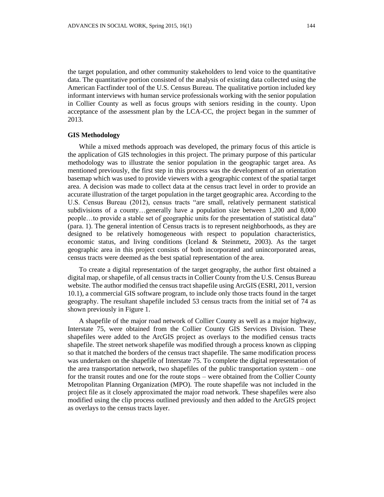the target population, and other community stakeholders to lend voice to the quantitative data. The quantitative portion consisted of the analysis of existing data collected using the American Factfinder tool of the U.S. Census Bureau. The qualitative portion included key informant interviews with human service professionals working with the senior population in Collier County as well as focus groups with seniors residing in the county. Upon acceptance of the assessment plan by the LCA-CC, the project began in the summer of 2013.

## **GIS Methodology**

While a mixed methods approach was developed, the primary focus of this article is the application of GIS technologies in this project. The primary purpose of this particular methodology was to illustrate the senior population in the geographic target area. As mentioned previously, the first step in this process was the development of an orientation basemap which was used to provide viewers with a geographic context of the spatial target area. A decision was made to collect data at the census tract level in order to provide an accurate illustration of the target population in the target geographic area. According to the U.S. Census Bureau (2012), census tracts "are small, relatively permanent statistical subdivisions of a county…generally have a population size between 1,200 and 8,000 people…to provide a stable set of geographic units for the presentation of statistical data" (para. 1). The general intention of Census tracts is to represent neighborhoods, as they are designed to be relatively homogeneous with respect to population characteristics, economic status, and living conditions (Iceland & Steinmetz, 2003). As the target geographic area in this project consists of both incorporated and unincorporated areas, census tracts were deemed as the best spatial representation of the area.

To create a digital representation of the target geography, the author first obtained a digital map, or shapefile, of all census tracts in Collier County from the U.S. Census Bureau website. The author modified the census tract shapefile using ArcGIS (ESRI, 2011, version 10.1), a commercial GIS software program, to include only those tracts found in the target geography. The resultant shapefile included 53 census tracts from the initial set of 74 as shown previously in Figure 1.

A shapefile of the major road network of Collier County as well as a major highway, Interstate 75, were obtained from the Collier County GIS Services Division. These shapefiles were added to the ArcGIS project as overlays to the modified census tracts shapefile. The street network shapefile was modified through a process known as clipping so that it matched the borders of the census tract shapefile. The same modification process was undertaken on the shapefile of Interstate 75. To complete the digital representation of the area transportation network, two shapefiles of the public transportation system – one for the transit routes and one for the route stops – were obtained from the Collier County Metropolitan Planning Organization (MPO). The route shapefile was not included in the project file as it closely approximated the major road network. These shapefiles were also modified using the clip process outlined previously and then added to the ArcGIS project as overlays to the census tracts layer.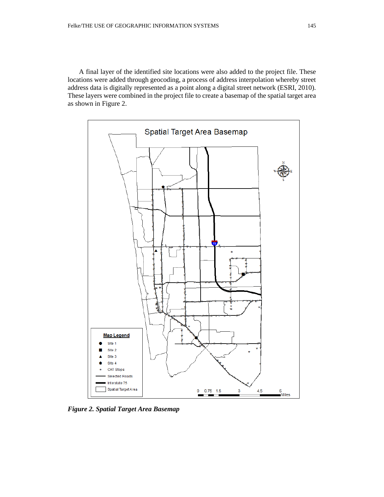A final layer of the identified site locations were also added to the project file. These locations were added through geocoding, a process of address interpolation whereby street address data is digitally represented as a point along a digital street network (ESRI, 2010). These layers were combined in the project file to create a basemap of the spatial target area as shown in Figure 2.



*Figure 2. Spatial Target Area Basemap*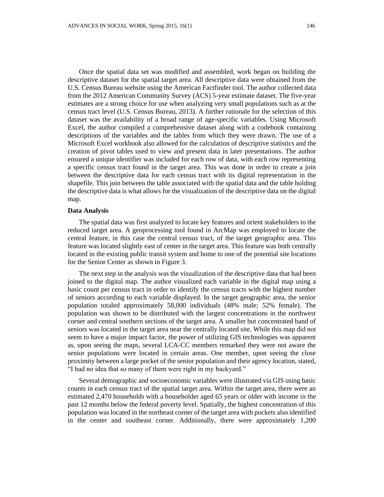Once the spatial data set was modified and assembled, work began on building the descriptive dataset for the spatial target area. All descriptive data were obtained from the U.S. Census Bureau website using the American Factfinder tool. The author collected data from the 2012 American Community Survey (ACS) 5-year estimate dataset. The five-year estimates are a strong choice for use when analyzing very small populations such as at the census tract level (U.S. Census Bureau, 2013). A further rationale for the selection of this dataset was the availability of a broad range of age-specific variables. Using Microsoft Excel, the author compiled a comprehensive dataset along with a codebook containing descriptions of the variables and the tables from which they were drawn. The use of a Microsoft Excel workbook also allowed for the calculation of descriptive statistics and the creation of pivot tables used to view and present data in later presentations. The author ensured a unique identifier was included for each row of data, with each row representing a specific census tract found in the target area. This was done in order to create a join between the descriptive data for each census tract with its digital representation in the shapefile. This join between the table associated with the spatial data and the table holding the descriptive data is what allows for the visualization of the descriptive data on the digital map.

#### **Data Analysis**

The spatial data was first analyzed to locate key features and orient stakeholders to the reduced target area. A geoprocessing tool found in ArcMap was employed to locate the central feature, in this case the central census tract, of the target geographic area. This feature was located slightly east of center in the target area. This feature was both centrally located in the existing public transit system and home to one of the potential site locations for the Senior Center as shown in Figure 3.

The next step in the analysis was the visualization of the descriptive data that had been joined to the digital map. The author visualized each variable in the digital map using a basic count per census tract in order to identify the census tracts with the highest number of seniors according to each variable displayed. In the target geographic area, the senior population totaled approximately 58,000 individuals (48% male; 52% female). The population was shown to be distributed with the largest concentrations in the northwest corner and central southern sections of the target area. A smaller but concentrated band of seniors was located in the target area near the centrally located site. While this map did not seem to have a major impact factor, the power of utilizing GIS technologies was apparent as, upon seeing the maps, several LCA-CC members remarked they were not aware the senior populations were located in certain areas. One member, upon seeing the close proximity between a large pocket of the senior population and their agency location, stated, "I had no idea that so many of them were right in my backyard."

Several demographic and socioeconomic variables were illustrated via GIS using basic counts in each census tract of the spatial target area. Within the target area, there were an estimated 2,470 households with a householder aged 65 years or older with income in the past 12 months below the federal poverty level. Spatially, the highest concentration of this population was located in the northeast corner of the target area with pockets also identified in the center and southeast corner. Additionally, there were approximately 1,200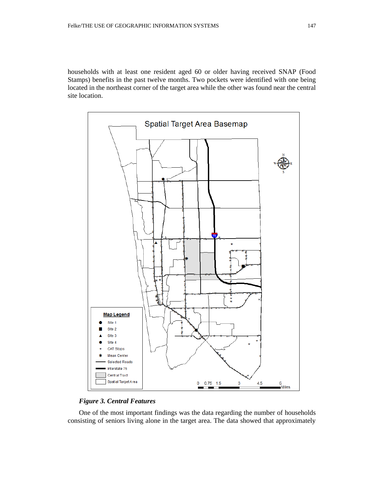households with at least one resident aged 60 or older having received SNAP (Food Stamps) benefits in the past twelve months. Two pockets were identified with one being located in the northeast corner of the target area while the other was found near the central site location.



## *Figure 3. Central Features*

One of the most important findings was the data regarding the number of households consisting of seniors living alone in the target area. The data showed that approximately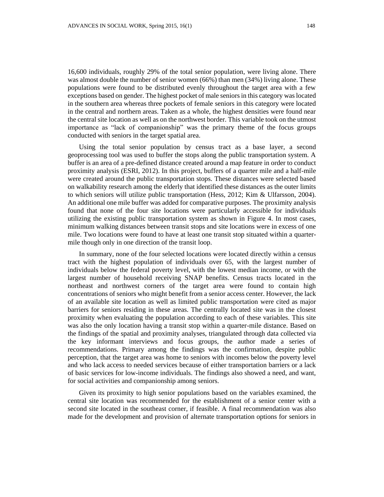16,600 individuals, roughly 29% of the total senior population, were living alone. There was almost double the number of senior women (66%) than men (34%) living alone. These populations were found to be distributed evenly throughout the target area with a few exceptions based on gender. The highest pocket of male seniors in this category was located in the southern area whereas three pockets of female seniors in this category were located in the central and northern areas. Taken as a whole, the highest densities were found near the central site location as well as on the northwest border. This variable took on the utmost importance as "lack of companionship" was the primary theme of the focus groups conducted with seniors in the target spatial area.

Using the total senior population by census tract as a base layer, a second geoprocessing tool was used to buffer the stops along the public transportation system. A buffer is an area of a pre-defined distance created around a map feature in order to conduct proximity analysis (ESRI, 2012). In this project, buffers of a quarter mile and a half-mile were created around the public transportation stops. These distances were selected based on walkability research among the elderly that identified these distances as the outer limits to which seniors will utilize public transportation (Hess, 2012; Kim & Ulfarsson, 2004). An additional one mile buffer was added for comparative purposes. The proximity analysis found that none of the four site locations were particularly accessible for individuals utilizing the existing public transportation system as shown in Figure 4. In most cases, minimum walking distances between transit stops and site locations were in excess of one mile. Two locations were found to have at least one transit stop situated within a quartermile though only in one direction of the transit loop.

In summary, none of the four selected locations were located directly within a census tract with the highest population of individuals over 65, with the largest number of individuals below the federal poverty level, with the lowest median income, or with the largest number of household receiving SNAP benefits. Census tracts located in the northeast and northwest corners of the target area were found to contain high concentrations of seniors who might benefit from a senior access center. However, the lack of an available site location as well as limited public transportation were cited as major barriers for seniors residing in these areas. The centrally located site was in the closest proximity when evaluating the population according to each of these variables. This site was also the only location having a transit stop within a quarter-mile distance. Based on the findings of the spatial and proximity analyses, triangulated through data collected via the key informant interviews and focus groups, the author made a series of recommendations. Primary among the findings was the confirmation, despite public perception, that the target area was home to seniors with incomes below the poverty level and who lack access to needed services because of either transportation barriers or a lack of basic services for low-income individuals. The findings also showed a need, and want, for social activities and companionship among seniors.

Given its proximity to high senior populations based on the variables examined, the central site location was recommended for the establishment of a senior center with a second site located in the southeast corner, if feasible. A final recommendation was also made for the development and provision of alternate transportation options for seniors in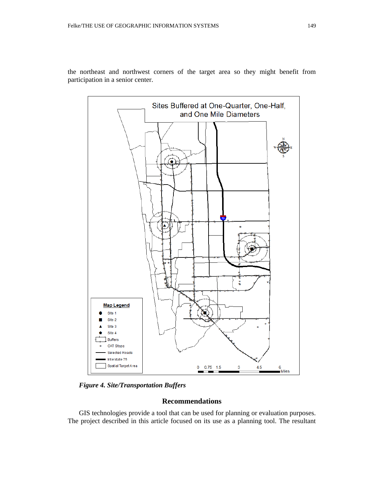

the northeast and northwest corners of the target area so they might benefit from participation in a senior center.

*Figure 4. Site/Transportation Buffers*

# **Recommendations**

GIS technologies provide a tool that can be used for planning or evaluation purposes. The project described in this article focused on its use as a planning tool. The resultant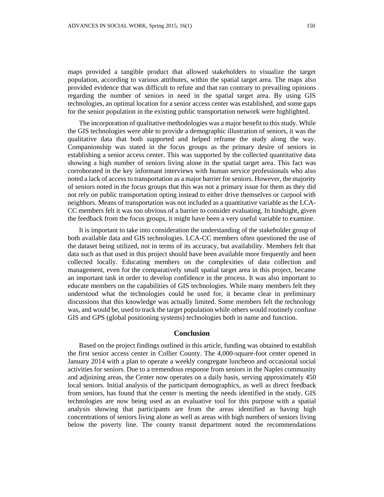maps provided a tangible product that allowed stakeholders to visualize the target population, according to various attributes, within the spatial target area. The maps also provided evidence that was difficult to refute and that ran contrary to prevailing opinions regarding the number of seniors in need in the spatial target area. By using GIS technologies, an optimal location for a senior access center was established, and some gaps for the senior population in the existing public transportation network were highlighted.

The incorporation of qualitative methodologies was a major benefit to this study. While the GIS technologies were able to provide a demographic illustration of seniors, it was the qualitative data that both supported and helped reframe the study along the way. Companionship was stated in the focus groups as the primary desire of seniors in establishing a senior access center. This was supported by the collected quantitative data showing a high number of seniors living alone in the spatial target area. This fact was corroborated in the key informant interviews with human service professionals who also noted a lack of access to transportation as a major barrier for seniors. However, the majority of seniors noted in the focus groups that this was not a primary issue for them as they did not rely on public transportation opting instead to either drive themselves or carpool with neighbors. Means of transportation was not included as a quantitative variable as the LCA-CC members felt it was too obvious of a barrier to consider evaluating. In hindsight, given the feedback from the focus groups, it might have been a very useful variable to examine.

It is important to take into consideration the understanding of the stakeholder group of both available data and GIS technologies. LCA-CC members often questioned the use of the dataset being utilized, not in terms of its accuracy, but availability. Members felt that data such as that used in this project should have been available more frequently and been collected locally. Educating members on the complexities of data collection and management, even for the comparatively small spatial target area in this project, became an important task in order to develop confidence in the process. It was also important to educate members on the capabilities of GIS technologies. While many members felt they understood what the technologies could be used for, it became clear in preliminary discussions that this knowledge was actually limited. Some members felt the technology was, and would be, used to track the target population while others would routinely confuse GIS and GPS (global positioning systems) technologies both in name and function.

#### **Conclusion**

Based on the project findings outlined in this article, funding was obtained to establish the first senior access center in Collier County. The 4,000-square-foot center opened in January 2014 with a plan to operate a weekly congregate luncheon and occasional social activities for seniors. Due to a tremendous response from seniors in the Naples community and adjoining areas, the Center now operates on a daily basis, serving approximately 450 local seniors. Initial analysis of the participant demographics, as well as direct feedback from seniors, has found that the center is meeting the needs identified in the study. GIS technologies are now being used as an evaluative tool for this purpose with a spatial analysis showing that participants are from the areas identified as having high concentrations of seniors living alone as well as areas with high numbers of seniors living below the poverty line. The county transit department noted the recommendations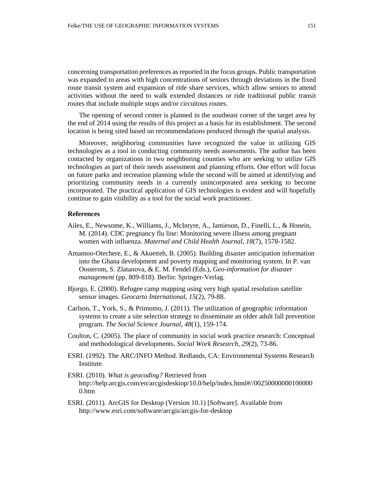concerning transportation preferences as reported in the focus groups. Public transportation was expanded to areas with high concentrations of seniors through deviations in the fixed route transit system and expansion of ride share services, which allow seniors to attend activities without the need to walk extended distances or ride traditional public transit routes that include multiple stops and/or circuitous routes.

The opening of second center is planned in the southeast corner of the target area by the end of 2014 using the results of this project as a basis for its establishment. The second location is being sited based on recommendations produced through the spatial analysis.

Moreover, neighboring communities have recognized the value in utilizing GIS technologies as a tool in conducting community needs assessments. The author has been contacted by organizations in two neighboring counties who are seeking to utilize GIS technologies as part of their needs assessment and planning efforts. One effort will focus on future parks and recreation planning while the second will be aimed at identifying and prioritizing community needs in a currently unincorporated area seeking to become incorporated. The practical application of GIS technologies is evident and will hopefully continue to gain visibility as a tool for the social work practitioner.

### **References**

- Ailes, E., Newsome, K., Williams, J., McIntyre, A., Jamieson, D., Finelli, L., & Honein, M. (2014). CDC pregnancy flu line: Monitoring severe illness among pregnant women with influenza. *Maternal and Child Health Journal, 18*(7), 1578-1582.
- Amamoo-Otechere, E., & Akuetteh, B. (2005). Building disaster anticipation information into the Ghana development and poverty mapping and monitoring system. In P. van Oosterom, S. Zlatanova, & E. M. Fendel (Eds.), *Geo-information for disaster management* (pp. 809-818). Berlin: Springer-Verlag.
- Bjorgo, E. (2000). Refugee camp mapping using very high spatial resolution satellite sensor images. *Geocarto International, 15*(2), 79-88.
- Carlson, T., York, S., & Primomo, J. (2011). The utilization of geographic information systems to create a site selection strategy to disseminate an older adult fall prevention program. *The Social Science Journal, 48*(1), 159-174.
- Coulton, C. (2005). The place of community in social work practice research: Conceptual and methodological developments. *Social Work Research, 29*(2), 73-86.
- ESRI. (1992). The ARC/INFO Method. Redlands, CA: Environmental Systems Research Institute.
- ESRI. (2010). *What is geocoding?* Retrieved from http://help.arcgis.com/en/arcgisdesktop/10.0/help/index.html#//00250000000100000 0.htm
- ESRI. (2011). ArcGIS for Desktop (Version 10.1) [Software]. Available from http://www.esri.com/software/arcgis/arcgis-for-desktop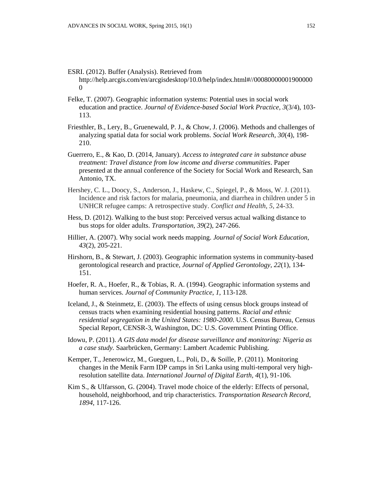- ESRI. (2012). Buffer (Analysis). Retrieved from http://help.arcgis.com/en/arcgisdesktop/10.0/help/index.html#//00080000001900000  $\Omega$
- Felke, T. (2007). Geographic information systems: Potential uses in social work education and practice. *Journal of Evidence-based Social Work Practice, 3*(3/4), 103- 113.
- Friesthler, B., Lery, B., Gruenewald, P. J., & Chow, J. (2006). Methods and challenges of analyzing spatial data for social work problems. *Social Work Research, 30*(4), 198- 210.
- Guerrero, E., & Kao, D. (2014, January). *Access to integrated care in substance abuse treatment: Travel distance from low income and diverse communities*. Paper presented at the annual conference of the Society for Social Work and Research, San Antonio, TX.
- Hershey, C. L., Doocy, S., Anderson, J., Haskew, C., Spiegel, P., & Moss, W. J. (2011). Incidence and risk factors for malaria, pneumonia, and diarrhea in children under 5 in UNHCR refugee camps: A retrospective study. *Conflict and Health*, *5*, 24-33.
- Hess, D. (2012). Walking to the bust stop: Perceived versus actual walking distance to bus stops for older adults. *Transportation, 39*(2), 247-266.
- Hillier, A. (2007). Why social work needs mapping. *Journal of Social Work Education, 43*(2), 205-221.
- Hirshorn, B., & Stewart, J. (2003). Geographic information systems in community-based gerontological research and practice, *Journal of Applied Gerontology, 22*(1), 134- 151.
- Hoefer, R. A., Hoefer, R., & Tobias, R. A. (1994). Geographic information systems and human services. *Journal of Community Practice*, *1*, 113-128.
- Iceland, J., & Steinmetz, E. (2003). The effects of using census block groups instead of census tracts when examining residential housing patterns. *Racial and ethnic residential segregation in the United States: 1980-2000*. U.S. Census Bureau, Census Special Report, CENSR-3, Washington, DC: U.S. Government Printing Office.
- Idowu, P. (2011). *[A GIS data model for disease surveillance and monitoring: Nigeria as](http://dl.acm.org/citation.cfm?id=2161773)  [a case study.](http://dl.acm.org/citation.cfm?id=2161773)* Saarbrücken, Germany: Lambert Academic Publishing.
- Kemper, T., Jenerowicz, M., Gueguen, L., Poli, D., & Soille, P. (2011). Monitoring changes in the Menik Farm IDP camps in Sri Lanka using multi-temporal very highresolution satellite data. *International Journal of Digital Earth, 4*(1), 91-106.
- Kim S., & Ulfarsson, G. (2004). Travel mode choice of the elderly: Effects of personal, household, neighborhood, and trip characteristics. *Transportation Research Record, 1894*, 117-126.